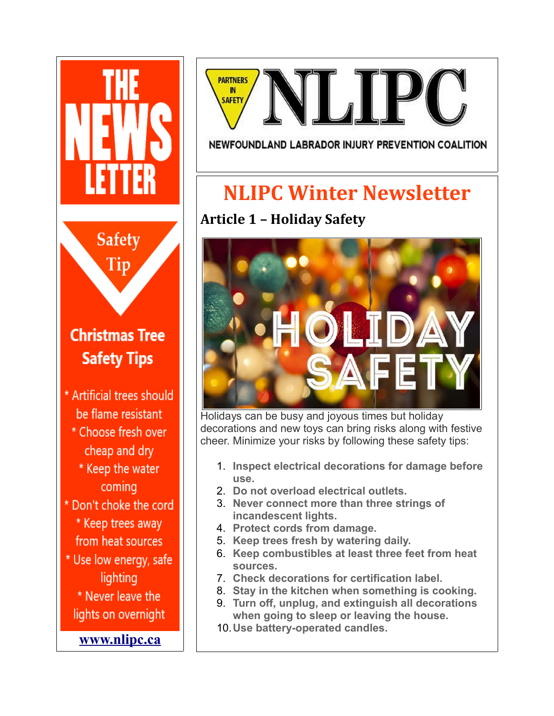



#### NEWFOUNDLAND LABRADOR INJURY PREVENTION COALITION

# **NLIPC Winter Newsletter**

# **Article 1 – Holiday Safety**



Holidays can be busy and joyous times but holiday decorations and new toys can bring risks along with festive cheer. Minimize your risks by following these safety tips:

- 1. **Inspect electrical decorations for damage before use.**
- 2. **Do not overload electrical outlets.**
- 3. **Never connect more than three strings of incandescent lights.**
- 4. **Protect cords from damage.**
- 5. **Keep trees fresh by watering daily.**
- 6. **Keep combustibles at least three feet from heat sources.**
- 7. **Check decorations for certification label.**
- 8. **Stay in the kitchen when something is cooking.**
- 9. **Turn off, unplug, and extinguish all decorations when going to sleep or leaving the house.**
- 10.**Use battery-operated candles.**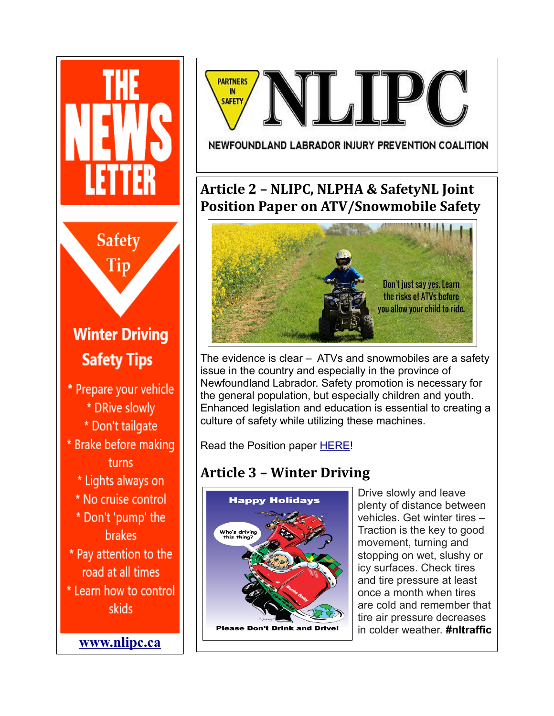



#### NEWFOUNDLAND LABRADOR INJURY PREVENTION COALITION

### **Article 2 – NLIPC, NLPHA & SafetyNL Joint Position Paper on ATV/Snowmobile Safety**



The evidence is clear – ATVs and snowmobiles are a safety issue in the country and especially in the province of Newfoundland Labrador. Safety promotion is necessary for the general population, but especially children and youth. Enhanced legislation and education is essential to creating a culture of safety while utilizing these machines.

Read the Position paper **HERE!** 

### **Article 3 – Winter Driving**



Drive slowly and leave plenty of distance between vehicles. Get winter tires – Traction is the key to good movement, turning and stopping on wet, slushy or icy surfaces. Check tires and tire pressure at least once a month when tires are cold and remember that tire air pressure decreases in colder weather. **#nltraffic**